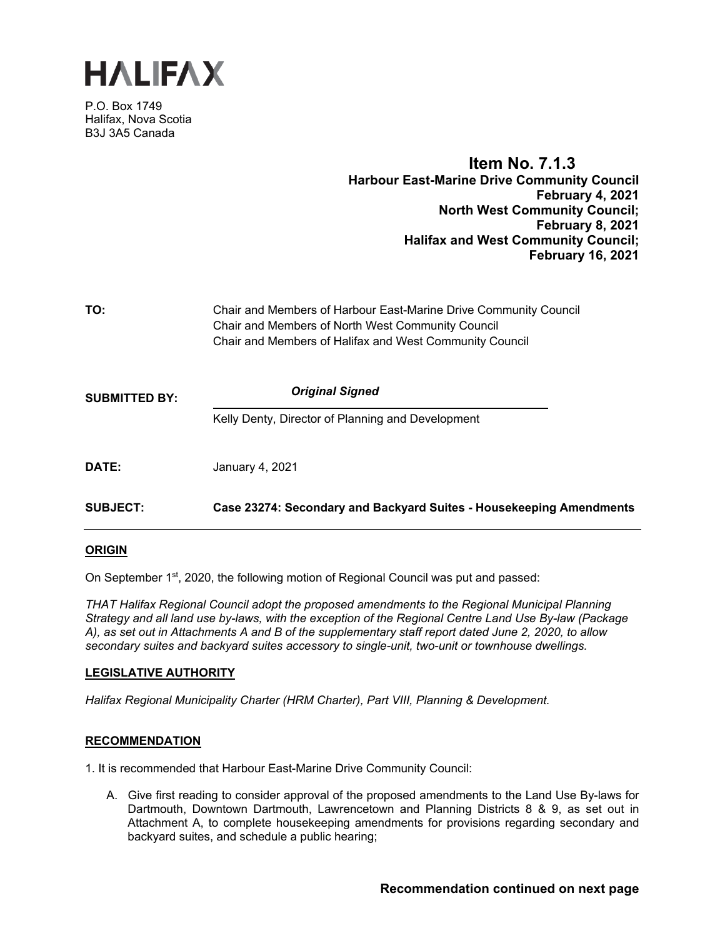

P.O. Box 1749 Halifax, Nova Scotia B3J 3A5 Canada

> **Item No. 7.1.3 Harbour East-Marine Drive Community Council February 4, 2021 North West Community Council; February 8, 2021 Halifax and West Community Council; February 16, 2021**

| TO:                  | Chair and Members of Harbour East-Marine Drive Community Council<br>Chair and Members of North West Community Council<br>Chair and Members of Halifax and West Community Council |
|----------------------|----------------------------------------------------------------------------------------------------------------------------------------------------------------------------------|
| <b>SUBMITTED BY:</b> | <b>Original Signed</b><br>Kelly Denty, Director of Planning and Development                                                                                                      |
| DATE:                | January 4, 2021                                                                                                                                                                  |
| <b>SUBJECT:</b>      | Case 23274: Secondary and Backyard Suites - Housekeeping Amendments                                                                                                              |

# **ORIGIN**

On September 1<sup>st</sup>, 2020, the following motion of Regional Council was put and passed:

*THAT Halifax Regional Council adopt the proposed amendments to the Regional Municipal Planning Strategy and all land use by-laws, with the exception of the Regional Centre Land Use By-law (Package A), as set out in Attachments A and B of the supplementary staff report dated June 2, 2020, to allow secondary suites and backyard suites accessory to single-unit, two-unit or townhouse dwellings.*

#### **LEGISLATIVE AUTHORITY**

*Halifax Regional Municipality Charter (HRM Charter), Part VIII, Planning & Development.*

#### **RECOMMENDATION**

1. It is recommended that Harbour East-Marine Drive Community Council:

A. Give first reading to consider approval of the proposed amendments to the Land Use By-laws for Dartmouth, Downtown Dartmouth, Lawrencetown and Planning Districts 8 & 9, as set out in Attachment A, to complete housekeeping amendments for provisions regarding secondary and backyard suites, and schedule a public hearing;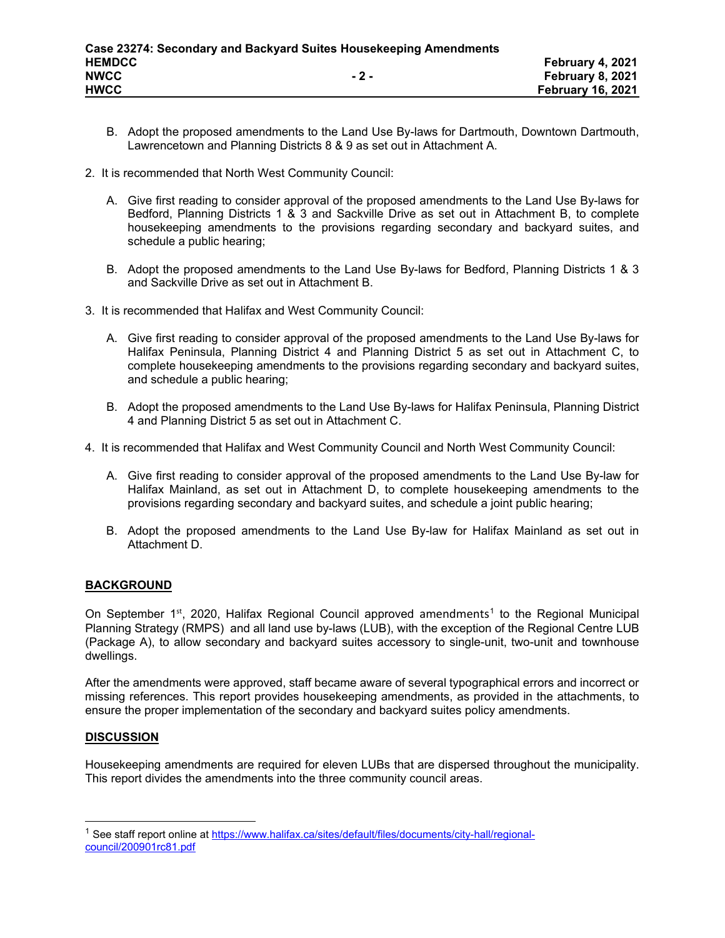- B. Adopt the proposed amendments to the Land Use By-laws for Dartmouth, Downtown Dartmouth, Lawrencetown and Planning Districts 8 & 9 as set out in Attachment A.
- 2. It is recommended that North West Community Council:
	- A. Give first reading to consider approval of the proposed amendments to the Land Use By-laws for Bedford, Planning Districts 1 & 3 and Sackville Drive as set out in Attachment B, to complete housekeeping amendments to the provisions regarding secondary and backyard suites, and schedule a public hearing;
	- B. Adopt the proposed amendments to the Land Use By-laws for Bedford, Planning Districts 1 & 3 and Sackville Drive as set out in Attachment B.
- 3. It is recommended that Halifax and West Community Council:
	- A. Give first reading to consider approval of the proposed amendments to the Land Use By-laws for Halifax Peninsula, Planning District 4 and Planning District 5 as set out in Attachment C, to complete housekeeping amendments to the provisions regarding secondary and backyard suites, and schedule a public hearing;
	- B. Adopt the proposed amendments to the Land Use By-laws for Halifax Peninsula, Planning District 4 and Planning District 5 as set out in Attachment C.
- 4. It is recommended that Halifax and West Community Council and North West Community Council:
	- A. Give first reading to consider approval of the proposed amendments to the Land Use By-law for Halifax Mainland, as set out in Attachment D, to complete housekeeping amendments to the provisions regarding secondary and backyard suites, and schedule a joint public hearing;
	- B. Adopt the proposed amendments to the Land Use By-law for Halifax Mainland as set out in Attachment D.

# **BACKGROUND**

On September [1](#page-1-0)<sup>st</sup>, 2020, Halifax Regional Council approved amendments<sup>1</sup> to the Regional Municipal Planning Strategy (RMPS) and all land use by-laws (LUB), with the exception of the Regional Centre LUB (Package A), to allow secondary and backyard suites accessory to single-unit, two-unit and townhouse dwellings.

After the amendments were approved, staff became aware of several typographical errors and incorrect or missing references. This report provides housekeeping amendments, as provided in the attachments, to ensure the proper implementation of the secondary and backyard suites policy amendments.

#### **DISCUSSION**

Housekeeping amendments are required for eleven LUBs that are dispersed throughout the municipality. This report divides the amendments into the three community council areas.

<span id="page-1-0"></span> <sup>1</sup> See staff report online at [https://www.halifax.ca/sites/default/files/documents/city-hall/regional](https://www.halifax.ca/sites/default/files/documents/city-hall/regional-council/200901rc81.pdf)[council/200901rc81.pdf](https://www.halifax.ca/sites/default/files/documents/city-hall/regional-council/200901rc81.pdf)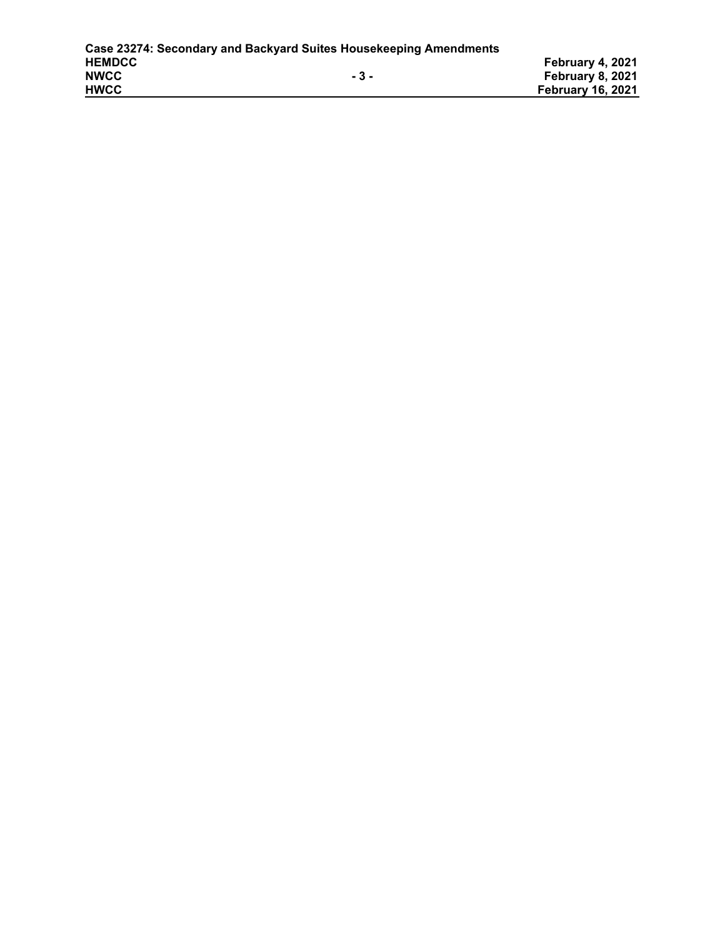|               | Case 23274: Secondary and Backyard Suites Housekeeping Amendments |                          |
|---------------|-------------------------------------------------------------------|--------------------------|
| <b>HEMDCC</b> |                                                                   | February 4, 2021         |
| NWCC          | - 3 -                                                             | February 8, 2021         |
| HWCC          |                                                                   | <b>February 16, 2021</b> |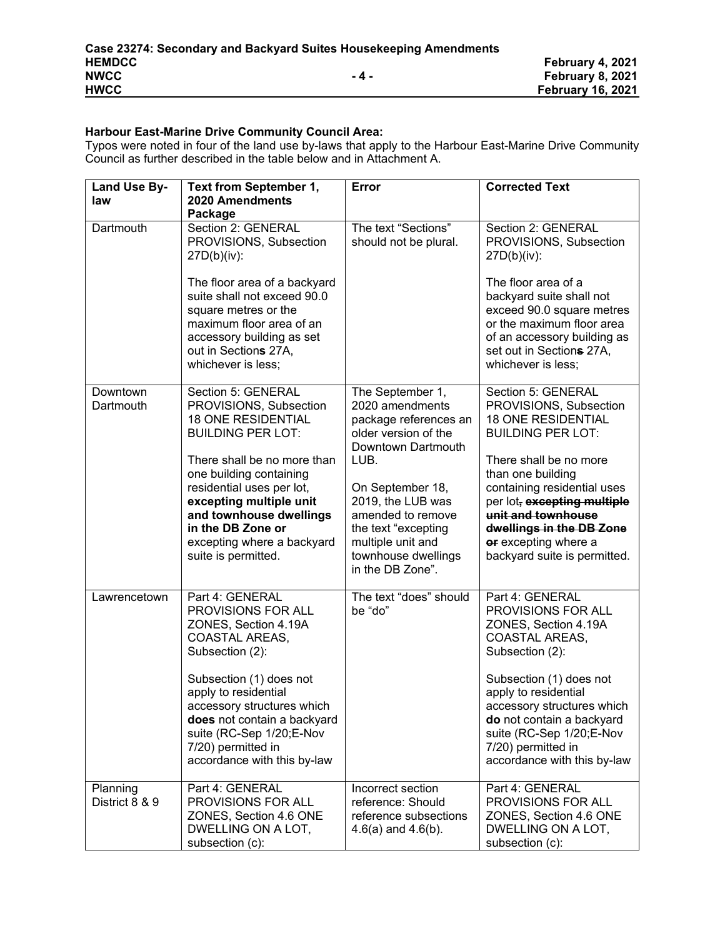# **Harbour East-Marine Drive Community Council Area:**

Typos were noted in four of the land use by-laws that apply to the Harbour East-Marine Drive Community Council as further described in the table below and in Attachment A.

| Land Use By-<br>law        | Text from September 1,<br>2020 Amendments                                                                                                                                                                                                                                                                                    | Error                                                                                                                                                                                                                                                                   | <b>Corrected Text</b>                                                                                                                                                                                                                                                                                                        |
|----------------------------|------------------------------------------------------------------------------------------------------------------------------------------------------------------------------------------------------------------------------------------------------------------------------------------------------------------------------|-------------------------------------------------------------------------------------------------------------------------------------------------------------------------------------------------------------------------------------------------------------------------|------------------------------------------------------------------------------------------------------------------------------------------------------------------------------------------------------------------------------------------------------------------------------------------------------------------------------|
|                            | Package                                                                                                                                                                                                                                                                                                                      |                                                                                                                                                                                                                                                                         |                                                                                                                                                                                                                                                                                                                              |
| Dartmouth                  | Section 2: GENERAL<br>PROVISIONS, Subsection<br>$27D(b)(iv)$ :<br>The floor area of a backyard<br>suite shall not exceed 90.0<br>square metres or the<br>maximum floor area of an<br>accessory building as set<br>out in Sections 27A,<br>whichever is less;                                                                 | The text "Sections"<br>should not be plural.                                                                                                                                                                                                                            | Section 2: GENERAL<br>PROVISIONS, Subsection<br>$27D(b)(iv)$ :<br>The floor area of a<br>backyard suite shall not<br>exceed 90.0 square metres<br>or the maximum floor area<br>of an accessory building as<br>set out in Sections 27A,<br>whichever is less;                                                                 |
| Downtown<br>Dartmouth      | Section 5: GENERAL<br>PROVISIONS, Subsection<br><b>18 ONE RESIDENTIAL</b><br><b>BUILDING PER LOT:</b><br>There shall be no more than<br>one building containing<br>residential uses per lot,<br>excepting multiple unit<br>and townhouse dwellings<br>in the DB Zone or<br>excepting where a backyard<br>suite is permitted. | The September 1,<br>2020 amendments<br>package references an<br>older version of the<br>Downtown Dartmouth<br>LUB.<br>On September 18,<br>2019, the LUB was<br>amended to remove<br>the text "excepting<br>multiple unit and<br>townhouse dwellings<br>in the DB Zone". | Section 5: GENERAL<br>PROVISIONS, Subsection<br><b>18 ONE RESIDENTIAL</b><br><b>BUILDING PER LOT:</b><br>There shall be no more<br>than one building<br>containing residential uses<br>per lot, excepting multiple<br>unit and townhouse<br>dwellings in the DB Zone<br>or excepting where a<br>backyard suite is permitted. |
| Lawrencetown               | Part 4: GENERAL<br>PROVISIONS FOR ALL<br>ZONES, Section 4.19A<br><b>COASTAL AREAS,</b><br>Subsection (2):<br>Subsection (1) does not<br>apply to residential<br>accessory structures which<br>does not contain a backyard<br>suite (RC-Sep 1/20;E-Nov<br>7/20) permitted in<br>accordance with this by-law                   | The text "does" should<br>be "do"                                                                                                                                                                                                                                       | Part 4: GENERAL<br>PROVISIONS FOR ALL<br>ZONES, Section 4.19A<br><b>COASTAL AREAS,</b><br>Subsection (2):<br>Subsection (1) does not<br>apply to residential<br>accessory structures which<br>do not contain a backyard<br>suite (RC-Sep 1/20;E-Nov<br>7/20) permitted in<br>accordance with this by-law                     |
| Planning<br>District 8 & 9 | Part 4: GENERAL<br>PROVISIONS FOR ALL<br>ZONES, Section 4.6 ONE<br>DWELLING ON A LOT,<br>subsection (c):                                                                                                                                                                                                                     | Incorrect section<br>reference: Should<br>reference subsections<br>$4.6(a)$ and $4.6(b)$ .                                                                                                                                                                              | Part 4: GENERAL<br>PROVISIONS FOR ALL<br>ZONES, Section 4.6 ONE<br>DWELLING ON A LOT,<br>subsection (c):                                                                                                                                                                                                                     |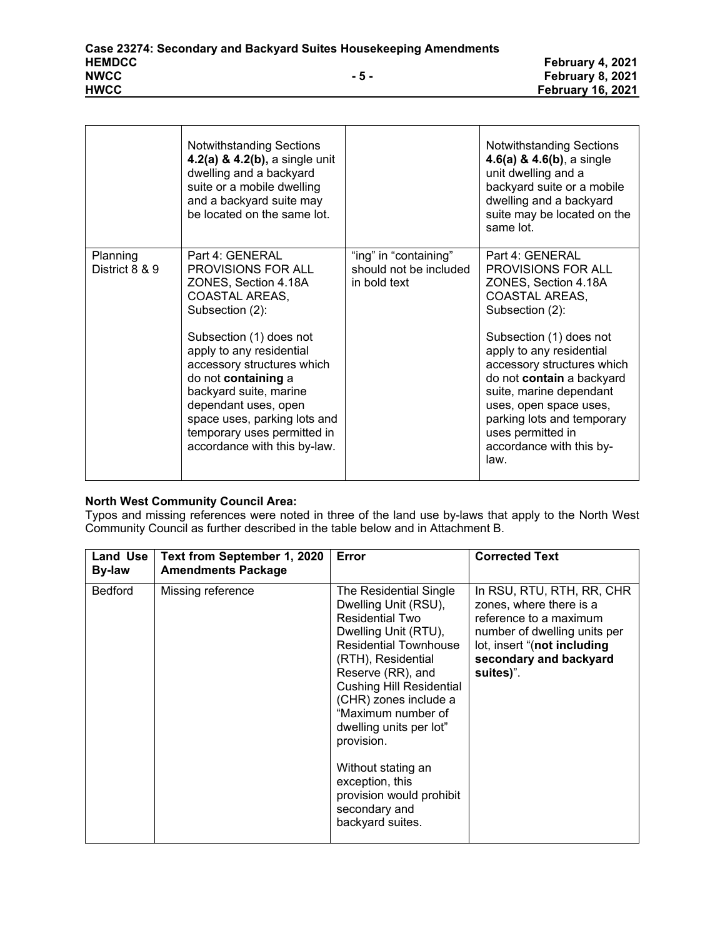|                            | <b>Notwithstanding Sections</b><br>4.2(a) $& 4.2(b)$ , a single unit<br>dwelling and a backyard<br>suite or a mobile dwelling<br>and a backyard suite may<br>be located on the same lot.                                                                                                                                                                               |                                                                 | <b>Notwithstanding Sections</b><br>4.6(a) & $4.6(b)$ , a single<br>unit dwelling and a<br>backyard suite or a mobile<br>dwelling and a backyard<br>suite may be located on the<br>same lot.                                                                                                                                                                                    |
|----------------------------|------------------------------------------------------------------------------------------------------------------------------------------------------------------------------------------------------------------------------------------------------------------------------------------------------------------------------------------------------------------------|-----------------------------------------------------------------|--------------------------------------------------------------------------------------------------------------------------------------------------------------------------------------------------------------------------------------------------------------------------------------------------------------------------------------------------------------------------------|
| Planning<br>District 8 & 9 | Part 4: GENERAL<br>PROVISIONS FOR ALL<br>ZONES, Section 4.18A<br><b>COASTAL AREAS,</b><br>Subsection (2):<br>Subsection (1) does not<br>apply to any residential<br>accessory structures which<br>do not containing a<br>backyard suite, marine<br>dependant uses, open<br>space uses, parking lots and<br>temporary uses permitted in<br>accordance with this by-law. | "ing" in "containing"<br>should not be included<br>in bold text | Part 4: GENERAL<br><b>PROVISIONS FOR ALL</b><br>ZONES, Section 4.18A<br><b>COASTAL AREAS,</b><br>Subsection (2):<br>Subsection (1) does not<br>apply to any residential<br>accessory structures which<br>do not contain a backyard<br>suite, marine dependant<br>uses, open space uses,<br>parking lots and temporary<br>uses permitted in<br>accordance with this by-<br>law. |

# **North West Community Council Area:**

Typos and missing references were noted in three of the land use by-laws that apply to the North West Community Council as further described in the table below and in Attachment B.

| Land Use<br><b>By-law</b> | Text from September 1, 2020<br><b>Amendments Package</b> | Error                                                                                                                                                                                                                                                                                                                                                                                                            | <b>Corrected Text</b>                                                                                                                                                                |
|---------------------------|----------------------------------------------------------|------------------------------------------------------------------------------------------------------------------------------------------------------------------------------------------------------------------------------------------------------------------------------------------------------------------------------------------------------------------------------------------------------------------|--------------------------------------------------------------------------------------------------------------------------------------------------------------------------------------|
| <b>Bedford</b>            | Missing reference                                        | The Residential Single<br>Dwelling Unit (RSU),<br><b>Residential Two</b><br>Dwelling Unit (RTU),<br><b>Residential Townhouse</b><br>(RTH), Residential<br>Reserve (RR), and<br><b>Cushing Hill Residential</b><br>(CHR) zones include a<br>"Maximum number of<br>dwelling units per lot"<br>provision.<br>Without stating an<br>exception, this<br>provision would prohibit<br>secondary and<br>backyard suites. | In RSU, RTU, RTH, RR, CHR<br>zones, where there is a<br>reference to a maximum<br>number of dwelling units per<br>lot, insert "(not including<br>secondary and backyard<br>suites)". |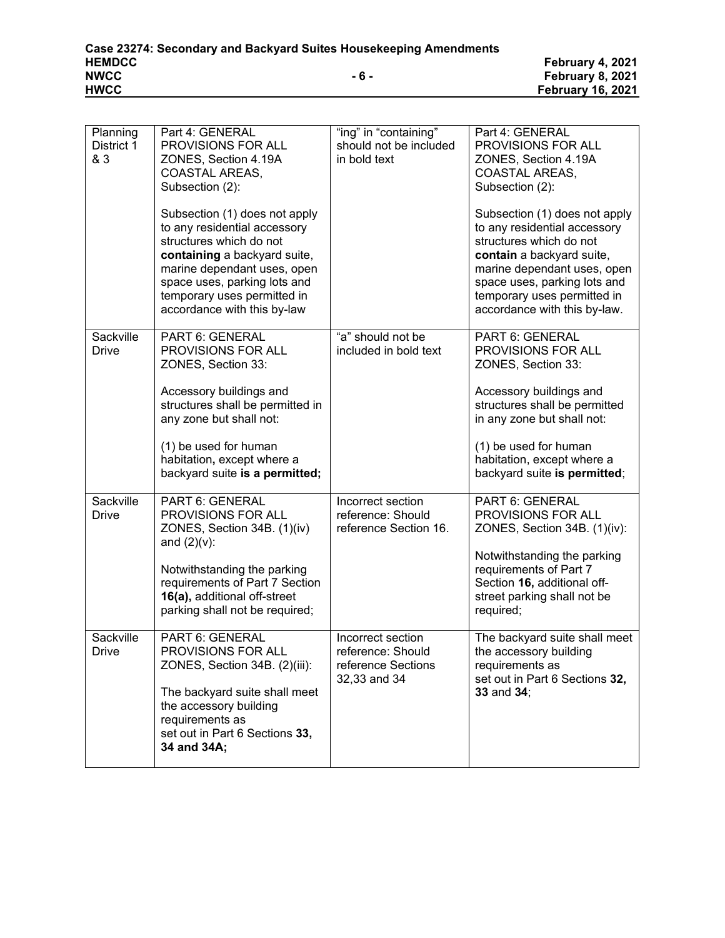| Planning<br>District 1<br>& 3 | Part 4: GENERAL<br>PROVISIONS FOR ALL<br>ZONES, Section 4.19A<br>COASTAL AREAS,<br>Subsection (2):<br>Subsection (1) does not apply<br>to any residential accessory<br>structures which do not<br>containing a backyard suite,<br>marine dependant uses, open<br>space uses, parking lots and<br>temporary uses permitted in<br>accordance with this by-law | "ing" in "containing"<br>should not be included<br>in bold text              | Part 4: GENERAL<br>PROVISIONS FOR ALL<br>ZONES, Section 4.19A<br><b>COASTAL AREAS,</b><br>Subsection (2):<br>Subsection (1) does not apply<br>to any residential accessory<br>structures which do not<br>contain a backyard suite,<br>marine dependant uses, open<br>space uses, parking lots and<br>temporary uses permitted in<br>accordance with this by-law. |
|-------------------------------|-------------------------------------------------------------------------------------------------------------------------------------------------------------------------------------------------------------------------------------------------------------------------------------------------------------------------------------------------------------|------------------------------------------------------------------------------|------------------------------------------------------------------------------------------------------------------------------------------------------------------------------------------------------------------------------------------------------------------------------------------------------------------------------------------------------------------|
| Sackville<br><b>Drive</b>     | PART 6: GENERAL<br>PROVISIONS FOR ALL<br>ZONES, Section 33:<br>Accessory buildings and<br>structures shall be permitted in<br>any zone but shall not:<br>(1) be used for human<br>habitation, except where a<br>backyard suite is a permitted;                                                                                                              | "a" should not be<br>included in bold text                                   | PART 6: GENERAL<br>PROVISIONS FOR ALL<br>ZONES, Section 33:<br>Accessory buildings and<br>structures shall be permitted<br>in any zone but shall not:<br>(1) be used for human<br>habitation, except where a<br>backyard suite is permitted;                                                                                                                     |
| Sackville<br><b>Drive</b>     | PART 6: GENERAL<br>PROVISIONS FOR ALL<br>ZONES, Section 34B. (1)(iv)<br>and $(2)(v)$ :<br>Notwithstanding the parking<br>requirements of Part 7 Section<br>16(a), additional off-street<br>parking shall not be required;                                                                                                                                   | Incorrect section<br>reference: Should<br>reference Section 16.              | PART 6: GENERAL<br>PROVISIONS FOR ALL<br>ZONES, Section 34B. (1)(iv):<br>Notwithstanding the parking<br>requirements of Part 7<br>Section 16, additional off-<br>street parking shall not be<br>required;                                                                                                                                                        |
| Sackville<br><b>Drive</b>     | PART 6: GENERAL<br><b>PROVISIONS FOR ALL</b><br>ZONES, Section 34B. (2)(iii):<br>The backyard suite shall meet<br>the accessory building<br>requirements as<br>set out in Part 6 Sections 33,<br>34 and 34A;                                                                                                                                                | Incorrect section<br>reference: Should<br>reference Sections<br>32,33 and 34 | The backyard suite shall meet<br>the accessory building<br>requirements as<br>set out in Part 6 Sections 32,<br>33 and 34;                                                                                                                                                                                                                                       |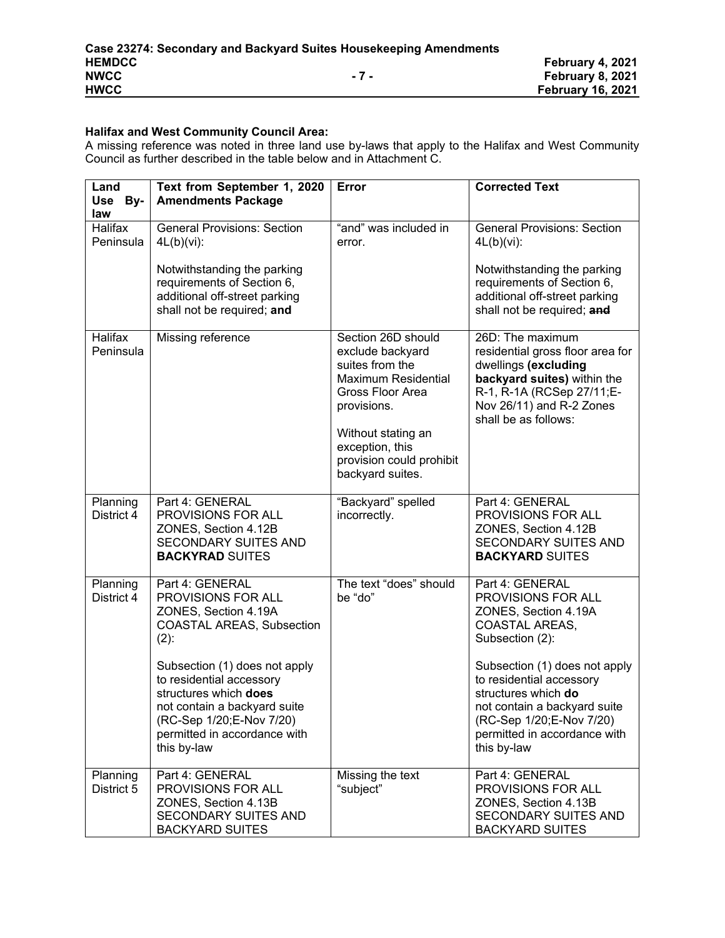# **Halifax and West Community Council Area:**

A missing reference was noted in three land use by-laws that apply to the Halifax and West Community Council as further described in the table below and in Attachment C.

| Land<br>Use By-<br>law | Text from September 1, 2020<br><b>Amendments Package</b>                                                                                                                                                                                                                                                      | Error                                                                                                                                                                                                               | <b>Corrected Text</b>                                                                                                                                                                                                                                                                                    |
|------------------------|---------------------------------------------------------------------------------------------------------------------------------------------------------------------------------------------------------------------------------------------------------------------------------------------------------------|---------------------------------------------------------------------------------------------------------------------------------------------------------------------------------------------------------------------|----------------------------------------------------------------------------------------------------------------------------------------------------------------------------------------------------------------------------------------------------------------------------------------------------------|
| Halifax<br>Peninsula   | <b>General Provisions: Section</b><br>$4L(b)(vi)$ :<br>Notwithstanding the parking<br>requirements of Section 6,<br>additional off-street parking<br>shall not be required; and                                                                                                                               | "and" was included in<br>error.                                                                                                                                                                                     | <b>General Provisions: Section</b><br>$4L(b)(vi)$ :<br>Notwithstanding the parking<br>requirements of Section 6,<br>additional off-street parking<br>shall not be required; and                                                                                                                          |
| Halifax<br>Peninsula   | Missing reference                                                                                                                                                                                                                                                                                             | Section 26D should<br>exclude backyard<br>suites from the<br><b>Maximum Residential</b><br>Gross Floor Area<br>provisions.<br>Without stating an<br>exception, this<br>provision could prohibit<br>backyard suites. | 26D: The maximum<br>residential gross floor area for<br>dwellings (excluding<br>backyard suites) within the<br>R-1, R-1A (RCSep 27/11;E-<br>Nov 26/11) and R-2 Zones<br>shall be as follows:                                                                                                             |
| Planning<br>District 4 | Part 4: GENERAL<br>PROVISIONS FOR ALL<br>ZONES, Section 4.12B<br><b>SECONDARY SUITES AND</b><br><b>BACKYRAD SUITES</b>                                                                                                                                                                                        | "Backyard" spelled<br>incorrectly.                                                                                                                                                                                  | Part 4: GENERAL<br>PROVISIONS FOR ALL<br>ZONES, Section 4.12B<br><b>SECONDARY SUITES AND</b><br><b>BACKYARD SUITES</b>                                                                                                                                                                                   |
| Planning<br>District 4 | Part 4: GENERAL<br>PROVISIONS FOR ALL<br>ZONES, Section 4.19A<br><b>COASTAL AREAS, Subsection</b><br>$(2)$ :<br>Subsection (1) does not apply<br>to residential accessory<br>structures which does<br>not contain a backyard suite<br>(RC-Sep 1/20;E-Nov 7/20)<br>permitted in accordance with<br>this by-law | The text "does" should<br>be "do"                                                                                                                                                                                   | Part 4: GENERAL<br>PROVISIONS FOR ALL<br>ZONES, Section 4.19A<br><b>COASTAL AREAS,</b><br>Subsection (2):<br>Subsection (1) does not apply<br>to residential accessory<br>structures which do<br>not contain a backyard suite<br>(RC-Sep 1/20;E-Nov 7/20)<br>permitted in accordance with<br>this by-law |
| Planning<br>District 5 | Part 4: GENERAL<br>PROVISIONS FOR ALL<br>ZONES, Section 4.13B<br>SECONDARY SUITES AND<br><b>BACKYARD SUITES</b>                                                                                                                                                                                               | Missing the text<br>"subject"                                                                                                                                                                                       | Part 4: GENERAL<br>PROVISIONS FOR ALL<br>ZONES, Section 4.13B<br>SECONDARY SUITES AND<br><b>BACKYARD SUITES</b>                                                                                                                                                                                          |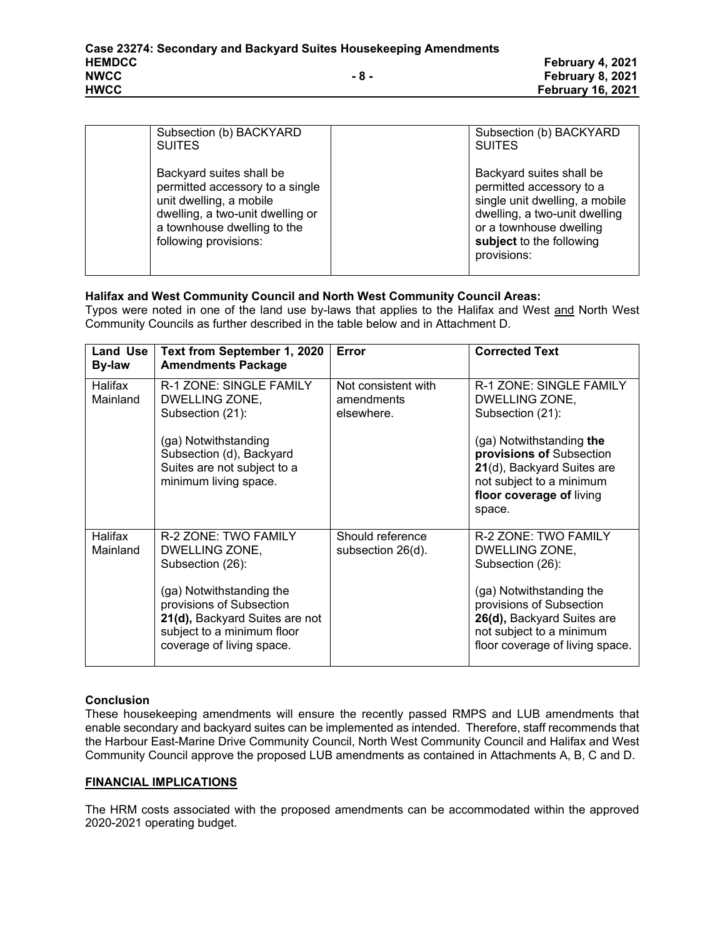| Subsection (b) BACKYARD<br><b>SUITES</b>                                                                                                                                           | Subsection (b) BACKYARD<br><b>SUITES</b>                                                                                                                                                      |
|------------------------------------------------------------------------------------------------------------------------------------------------------------------------------------|-----------------------------------------------------------------------------------------------------------------------------------------------------------------------------------------------|
| Backyard suites shall be<br>permitted accessory to a single<br>unit dwelling, a mobile<br>dwelling, a two-unit dwelling or<br>a townhouse dwelling to the<br>following provisions: | Backyard suites shall be<br>permitted accessory to a<br>single unit dwelling, a mobile<br>dwelling, a two-unit dwelling<br>or a townhouse dwelling<br>subject to the following<br>provisions: |

# **Halifax and West Community Council and North West Community Council Areas:**

Typos were noted in one of the land use by-laws that applies to the Halifax and West and North West Community Councils as further described in the table below and in Attachment D.

| <b>Land Use</b><br><b>By-law</b> | Text from September 1, 2020<br><b>Amendments Package</b>                                                                                                                                                        | Error                                           | <b>Corrected Text</b>                                                                                                                                                                                                 |
|----------------------------------|-----------------------------------------------------------------------------------------------------------------------------------------------------------------------------------------------------------------|-------------------------------------------------|-----------------------------------------------------------------------------------------------------------------------------------------------------------------------------------------------------------------------|
| <b>Halifax</b><br>Mainland       | R-1 ZONE: SINGLE FAMILY<br>DWELLING ZONE,<br>Subsection (21):<br>(ga) Notwithstanding<br>Subsection (d), Backyard<br>Suites are not subject to a<br>minimum living space.                                       | Not consistent with<br>amendments<br>elsewhere. | R-1 ZONE: SINGLE FAMILY<br>DWELLING ZONE,<br>Subsection (21):<br>(ga) Notwithstanding the<br>provisions of Subsection<br>21(d), Backyard Suites are<br>not subject to a minimum<br>floor coverage of living<br>space. |
| <b>Halifax</b><br>Mainland       | R-2 ZONE: TWO FAMILY<br>DWELLING ZONE,<br>Subsection (26):<br>(ga) Notwithstanding the<br>provisions of Subsection<br>21(d), Backyard Suites are not<br>subject to a minimum floor<br>coverage of living space. | Should reference<br>subsection 26(d).           | R-2 ZONE: TWO FAMILY<br>DWELLING ZONE,<br>Subsection (26):<br>(ga) Notwithstanding the<br>provisions of Subsection<br>26(d), Backyard Suites are<br>not subject to a minimum<br>floor coverage of living space.       |

# **Conclusion**

These housekeeping amendments will ensure the recently passed RMPS and LUB amendments that enable secondary and backyard suites can be implemented as intended. Therefore, staff recommends that the Harbour East-Marine Drive Community Council, North West Community Council and Halifax and West Community Council approve the proposed LUB amendments as contained in Attachments A, B, C and D.

# **FINANCIAL IMPLICATIONS**

The HRM costs associated with the proposed amendments can be accommodated within the approved 2020-2021 operating budget.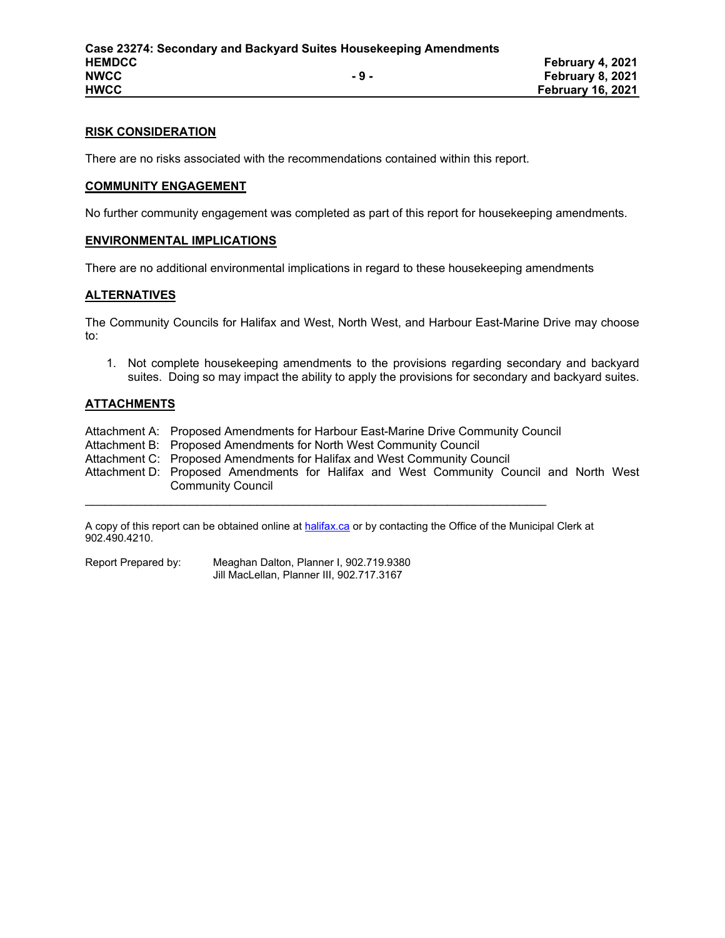#### **RISK CONSIDERATION**

There are no risks associated with the recommendations contained within this report.

#### **COMMUNITY ENGAGEMENT**

No further community engagement was completed as part of this report for housekeeping amendments.

#### **ENVIRONMENTAL IMPLICATIONS**

There are no additional environmental implications in regard to these housekeeping amendments

#### **ALTERNATIVES**

The Community Councils for Halifax and West, North West, and Harbour East-Marine Drive may choose to:

1. Not complete housekeeping amendments to the provisions regarding secondary and backyard suites. Doing so may impact the ability to apply the provisions for secondary and backyard suites.

#### **ATTACHMENTS**

Attachment A: Proposed Amendments for Harbour East-Marine Drive Community Council

\_\_\_\_\_\_\_\_\_\_\_\_\_\_\_\_\_\_\_\_\_\_\_\_\_\_\_\_\_\_\_\_\_\_\_\_\_\_\_\_\_\_\_\_\_\_\_\_\_\_\_\_\_\_\_\_\_\_\_\_\_\_\_\_\_\_\_\_\_\_

- Attachment B: Proposed Amendments for North West Community Council
- Attachment C: Proposed Amendments for Halifax and West Community Council
- Attachment D: Proposed Amendments for Halifax and West Community Council and North West Community Council

A copy of this report can be obtained online a[t halifax.ca](http://www.halifax.ca/) or by contacting the Office of the Municipal Clerk at 902.490.4210.

Report Prepared by: Meaghan Dalton, Planner I, 902.719.9380 Jill MacLellan, Planner III, 902.717.3167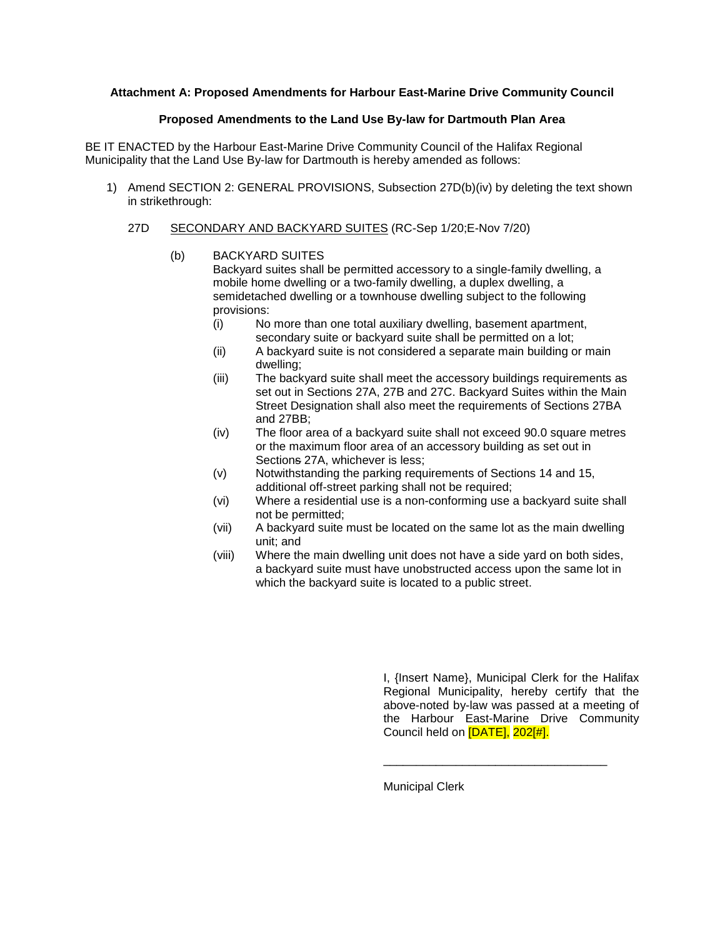### **Attachment A: Proposed Amendments for Harbour East-Marine Drive Community Council**

#### **Proposed Amendments to the Land Use By-law for Dartmouth Plan Area**

BE IT ENACTED by the Harbour East-Marine Drive Community Council of the Halifax Regional Municipality that the Land Use By-law for Dartmouth is hereby amended as follows:

- 1) Amend SECTION 2: GENERAL PROVISIONS, Subsection 27D(b)(iv) by deleting the text shown in strikethrough:
	- 27D SECONDARY AND BACKYARD SUITES (RC-Sep 1/20;E-Nov 7/20)

# (b) BACKYARD SUITES

Backyard suites shall be permitted accessory to a single-family dwelling, a mobile home dwelling or a two-family dwelling, a duplex dwelling, a semidetached dwelling or a townhouse dwelling subject to the following provisions:

- (i) No more than one total auxiliary dwelling, basement apartment, secondary suite or backyard suite shall be permitted on a lot;
- (ii) A backyard suite is not considered a separate main building or main dwelling;
- (iii) The backyard suite shall meet the accessory buildings requirements as set out in Sections 27A, 27B and 27C. Backyard Suites within the Main Street Designation shall also meet the requirements of Sections 27BA and 27BB;
- (iv) The floor area of a backyard suite shall not exceed 90.0 square metres or the maximum floor area of an accessory building as set out in Sections 27A, whichever is less:
- (v) Notwithstanding the parking requirements of Sections 14 and 15, additional off-street parking shall not be required;
- (vi) Where a residential use is a non-conforming use a backyard suite shall not be permitted;
- (vii) A backyard suite must be located on the same lot as the main dwelling unit; and
- (viii) Where the main dwelling unit does not have a side yard on both sides, a backyard suite must have unobstructed access upon the same lot in which the backyard suite is located to a public street.

I, {Insert Name}, Municipal Clerk for the Halifax Regional Municipality, hereby certify that the above-noted by-law was passed at a meeting of the Harbour East-Marine Drive Community Council held on [DATE], 202[#].

\_\_\_\_\_\_\_\_\_\_\_\_\_\_\_\_\_\_\_\_\_\_\_\_\_\_\_\_\_\_\_\_\_\_

Municipal Clerk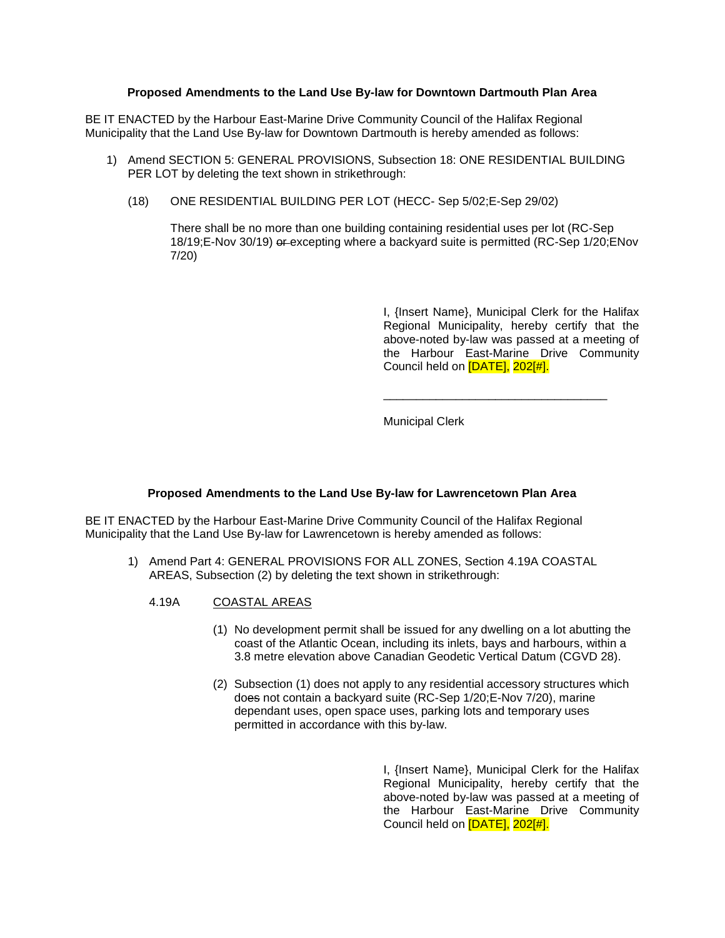### **Proposed Amendments to the Land Use By-law for Downtown Dartmouth Plan Area**

BE IT ENACTED by the Harbour East-Marine Drive Community Council of the Halifax Regional Municipality that the Land Use By-law for Downtown Dartmouth is hereby amended as follows:

- 1) Amend SECTION 5: GENERAL PROVISIONS, Subsection 18: ONE RESIDENTIAL BUILDING PER LOT by deleting the text shown in strikethrough:
	- (18) ONE RESIDENTIAL BUILDING PER LOT (HECC- Sep 5/02;E-Sep 29/02)

There shall be no more than one building containing residential uses per lot (RC-Sep 18/19;E-Nov 30/19) or excepting where a backyard suite is permitted (RC-Sep 1/20;ENov 7/20)

> I, {Insert Name}, Municipal Clerk for the Halifax Regional Municipality, hereby certify that the above-noted by-law was passed at a meeting of the Harbour East-Marine Drive Community Council held on [DATE], 202[#].

\_\_\_\_\_\_\_\_\_\_\_\_\_\_\_\_\_\_\_\_\_\_\_\_\_\_\_\_\_\_\_\_\_\_

Municipal Clerk

# **Proposed Amendments to the Land Use By-law for Lawrencetown Plan Area**

BE IT ENACTED by the Harbour East-Marine Drive Community Council of the Halifax Regional Municipality that the Land Use By-law for Lawrencetown is hereby amended as follows:

- 1) Amend Part 4: GENERAL PROVISIONS FOR ALL ZONES, Section 4.19A COASTAL AREAS, Subsection (2) by deleting the text shown in strikethrough:
	- 4.19A COASTAL AREAS
		- (1) No development permit shall be issued for any dwelling on a lot abutting the coast of the Atlantic Ocean, including its inlets, bays and harbours, within a 3.8 metre elevation above Canadian Geodetic Vertical Datum (CGVD 28).
		- (2) Subsection (1) does not apply to any residential accessory structures which does not contain a backyard suite (RC-Sep 1/20;E-Nov 7/20), marine dependant uses, open space uses, parking lots and temporary uses permitted in accordance with this by-law.

I, {Insert Name}, Municipal Clerk for the Halifax Regional Municipality, hereby certify that the above-noted by-law was passed at a meeting of the Harbour East-Marine Drive Community Council held on [DATE], 202[#].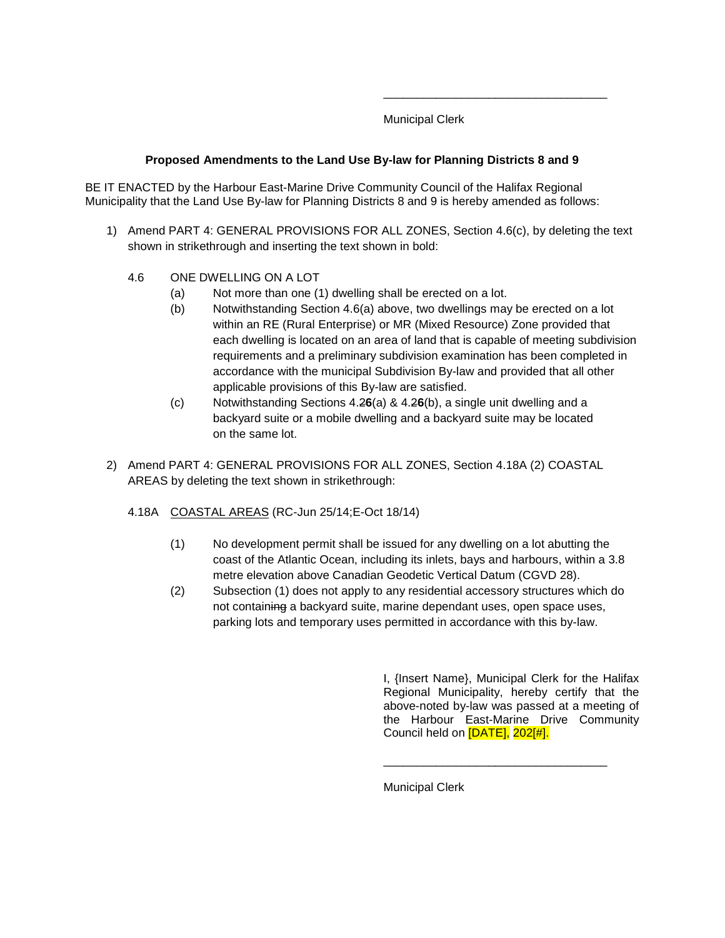Municipal Clerk

\_\_\_\_\_\_\_\_\_\_\_\_\_\_\_\_\_\_\_\_\_\_\_\_\_\_\_\_\_\_\_\_\_\_

# **Proposed Amendments to the Land Use By-law for Planning Districts 8 and 9**

BE IT ENACTED by the Harbour East-Marine Drive Community Council of the Halifax Regional Municipality that the Land Use By-law for Planning Districts 8 and 9 is hereby amended as follows:

- 1) Amend PART 4: GENERAL PROVISIONS FOR ALL ZONES, Section 4.6(c), by deleting the text shown in strikethrough and inserting the text shown in bold:
	- 4.6 ONE DWELLING ON A LOT
		- (a) Not more than one (1) dwelling shall be erected on a lot.
		- (b) Notwithstanding Section 4.6(a) above, two dwellings may be erected on a lot within an RE (Rural Enterprise) or MR (Mixed Resource) Zone provided that each dwelling is located on an area of land that is capable of meeting subdivision requirements and a preliminary subdivision examination has been completed in accordance with the municipal Subdivision By-law and provided that all other applicable provisions of this By-law are satisfied.
		- (c) Notwithstanding Sections 4.2**6**(a) & 4.2**6**(b), a single unit dwelling and a backyard suite or a mobile dwelling and a backyard suite may be located on the same lot.
- 2) Amend PART 4: GENERAL PROVISIONS FOR ALL ZONES, Section 4.18A (2) COASTAL AREAS by deleting the text shown in strikethrough:
	- 4.18A COASTAL AREAS (RC-Jun 25/14;E-Oct 18/14)
		- (1) No development permit shall be issued for any dwelling on a lot abutting the coast of the Atlantic Ocean, including its inlets, bays and harbours, within a 3.8 metre elevation above Canadian Geodetic Vertical Datum (CGVD 28).
		- (2) Subsection (1) does not apply to any residential accessory structures which do not containing a backyard suite, marine dependant uses, open space uses, parking lots and temporary uses permitted in accordance with this by-law.

I, {Insert Name}, Municipal Clerk for the Halifax Regional Municipality, hereby certify that the above-noted by-law was passed at a meeting of the Harbour East-Marine Drive Community Council held on [DATE], 202[#].

\_\_\_\_\_\_\_\_\_\_\_\_\_\_\_\_\_\_\_\_\_\_\_\_\_\_\_\_\_\_\_\_\_\_

Municipal Clerk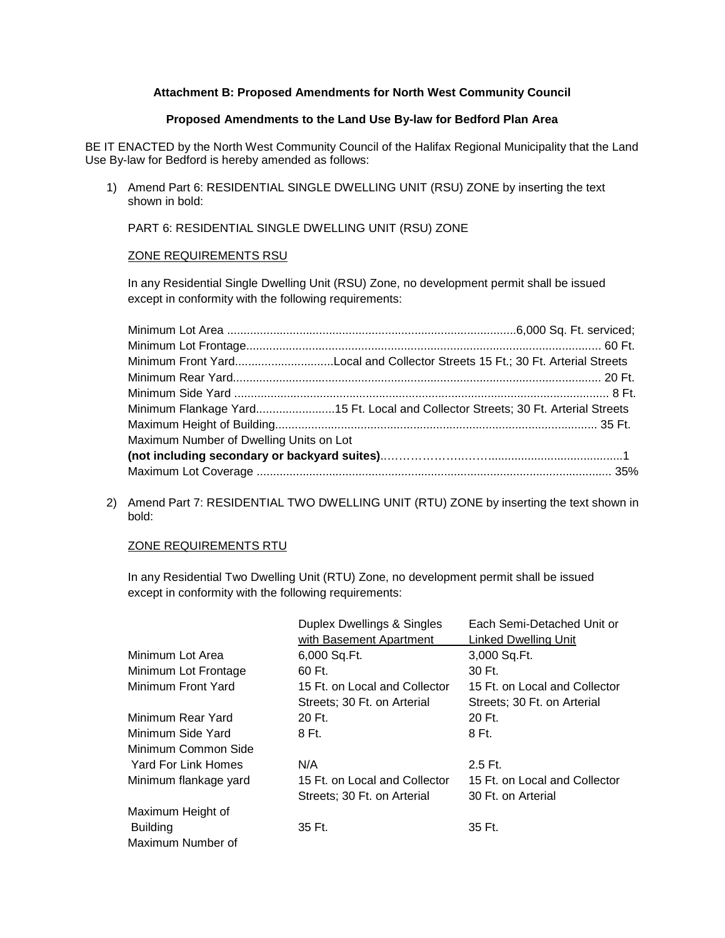### **Attachment B: Proposed Amendments for North West Community Council**

#### **Proposed Amendments to the Land Use By-law for Bedford Plan Area**

BE IT ENACTED by the North West Community Council of the Halifax Regional Municipality that the Land Use By-law for Bedford is hereby amended as follows:

1) Amend Part 6: RESIDENTIAL SINGLE DWELLING UNIT (RSU) ZONE by inserting the text shown in bold:

PART 6: RESIDENTIAL SINGLE DWELLING UNIT (RSU) ZONE

### ZONE REQUIREMENTS RSU

In any Residential Single Dwelling Unit (RSU) Zone, no development permit shall be issued except in conformity with the following requirements:

| Minimum Front YardLocal and Collector Streets 15 Ft.; 30 Ft. Arterial Streets    |  |
|----------------------------------------------------------------------------------|--|
|                                                                                  |  |
|                                                                                  |  |
| Minimum Flankage Yard15 Ft. Local and Collector Streets; 30 Ft. Arterial Streets |  |
|                                                                                  |  |
| Maximum Number of Dwelling Units on Lot                                          |  |
|                                                                                  |  |
|                                                                                  |  |

2) Amend Part 7: RESIDENTIAL TWO DWELLING UNIT (RTU) ZONE by inserting the text shown in bold:

#### ZONE REQUIREMENTS RTU

In any Residential Two Dwelling Unit (RTU) Zone, no development permit shall be issued except in conformity with the following requirements:

|                       | Duplex Dwellings & Singles    | Each Semi-Detached Unit or    |
|-----------------------|-------------------------------|-------------------------------|
|                       | with Basement Apartment       | Linked Dwelling Unit          |
| Minimum Lot Area      | 6,000 Sq.Ft.                  | 3,000 Sq.Ft.                  |
| Minimum Lot Frontage  | 60 Ft.                        | 30 Ft.                        |
| Minimum Front Yard    | 15 Ft. on Local and Collector | 15 Ft. on Local and Collector |
|                       | Streets; 30 Ft. on Arterial   | Streets; 30 Ft. on Arterial   |
| Minimum Rear Yard     | 20 Ft.                        | 20 Ft.                        |
| Minimum Side Yard     | 8 Ft.                         | 8 Ft.                         |
| Minimum Common Side   |                               |                               |
| Yard For Link Homes   | N/A                           | $2.5$ Ft.                     |
| Minimum flankage yard | 15 Ft. on Local and Collector | 15 Ft. on Local and Collector |
|                       | Streets; 30 Ft. on Arterial   | 30 Ft. on Arterial            |
| Maximum Height of     |                               |                               |
| <b>Building</b>       | 35 Ft.                        | 35 Ft.                        |
| Maximum Number of     |                               |                               |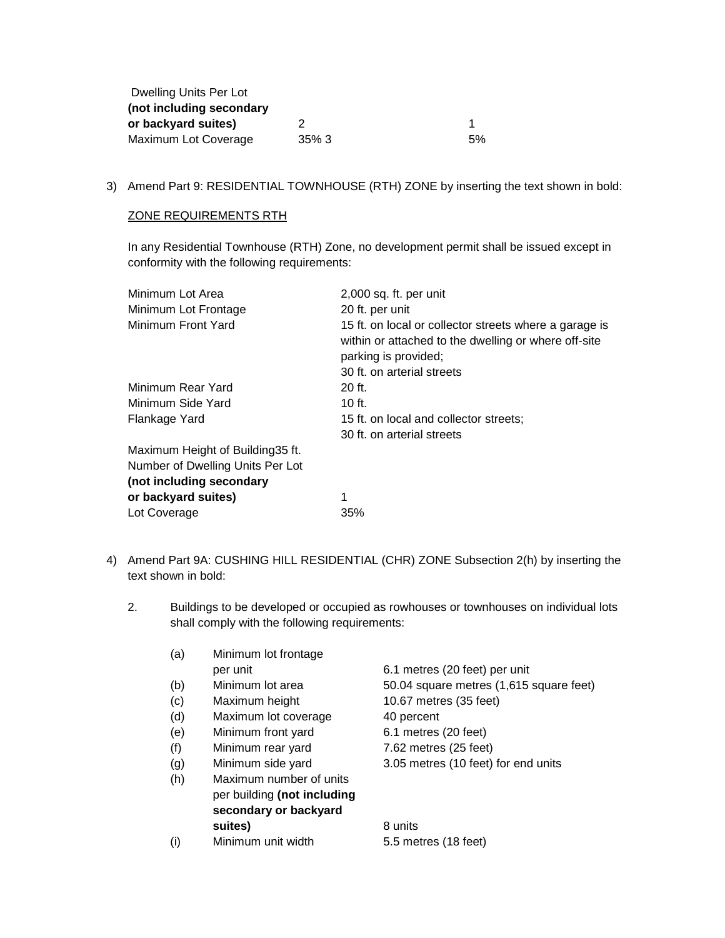| Dwelling Units Per Lot   |       |    |
|--------------------------|-------|----|
| (not including secondary |       |    |
| or backyard suites)      |       |    |
| Maximum Lot Coverage     | 35% 3 | 5% |

3) Amend Part 9: RESIDENTIAL TOWNHOUSE (RTH) ZONE by inserting the text shown in bold:

#### ZONE REQUIREMENTS RTH

In any Residential Townhouse (RTH) Zone, no development permit shall be issued except in conformity with the following requirements:

| Minimum Lot Area                  | $2,000$ sq. ft. per unit                                                                                                                                             |
|-----------------------------------|----------------------------------------------------------------------------------------------------------------------------------------------------------------------|
| Minimum Lot Frontage              | 20 ft. per unit                                                                                                                                                      |
| Minimum Front Yard                | 15 ft. on local or collector streets where a garage is<br>within or attached to the dwelling or where off-site<br>parking is provided;<br>30 ft. on arterial streets |
| Minimum Rear Yard                 | 20 ft.                                                                                                                                                               |
| Minimum Side Yard                 | 10 ft.                                                                                                                                                               |
| Flankage Yard                     | 15 ft. on local and collector streets;<br>30 ft. on arterial streets                                                                                                 |
| Maximum Height of Building 35 ft. |                                                                                                                                                                      |
| Number of Dwelling Units Per Lot  |                                                                                                                                                                      |
| (not including secondary          |                                                                                                                                                                      |
| or backyard suites)               | 1                                                                                                                                                                    |
| Lot Coverage                      | 35%                                                                                                                                                                  |

- 4) Amend Part 9A: CUSHING HILL RESIDENTIAL (CHR) ZONE Subsection 2(h) by inserting the text shown in bold:
	- 2. Buildings to be developed or occupied as rowhouses or townhouses on individual lots shall comply with the following requirements:

| (a) | Minimum lot frontage        |                                         |  |
|-----|-----------------------------|-----------------------------------------|--|
|     | per unit                    | 6.1 metres (20 feet) per unit           |  |
| (b) | Minimum lot area            | 50.04 square metres (1,615 square feet) |  |
| (c) | Maximum height              | 10.67 metres (35 feet)                  |  |
| (d) | Maximum lot coverage        | 40 percent                              |  |
| (e) | Minimum front yard          | 6.1 metres (20 feet)                    |  |
| (f) | Minimum rear yard           | 7.62 metres (25 feet)                   |  |
| (g) | Minimum side yard           | 3.05 metres (10 feet) for end units     |  |
| (h) | Maximum number of units     |                                         |  |
|     | per building (not including |                                         |  |
|     | secondary or backyard       |                                         |  |
|     | suites)                     | 8 units                                 |  |

(i) Minimum unit width 5.5 metres (18 feet)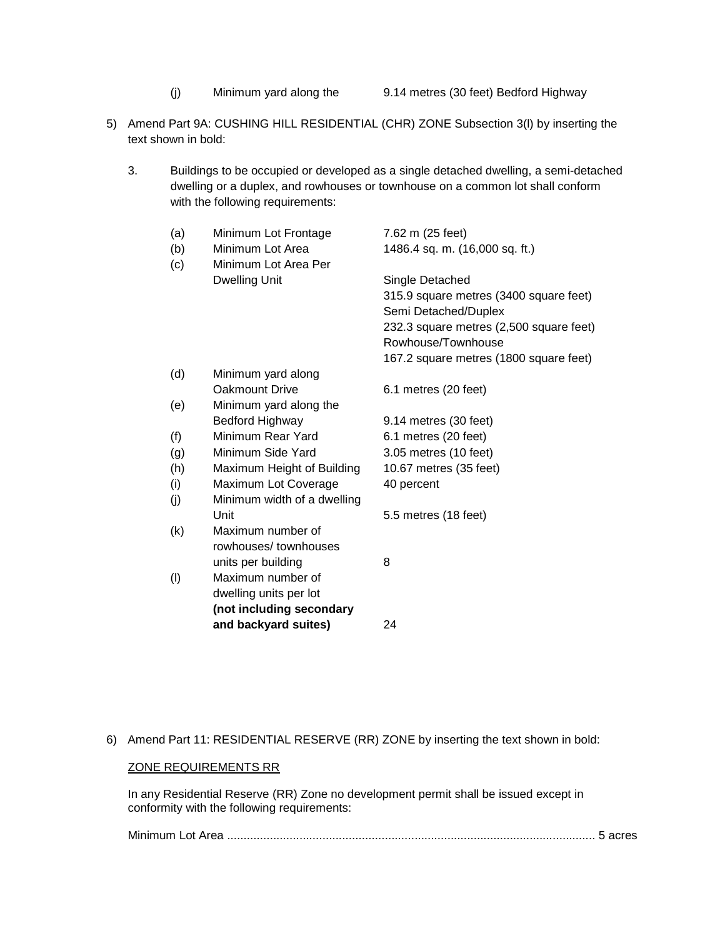- 
- (j) Minimum yard along the 9.14 metres (30 feet) Bedford Highway
- 5) Amend Part 9A: CUSHING HILL RESIDENTIAL (CHR) ZONE Subsection 3(l) by inserting the text shown in bold:
	- 3. Buildings to be occupied or developed as a single detached dwelling, a semi-detached dwelling or a duplex, and rowhouses or townhouse on a common lot shall conform with the following requirements:

| (a) | Minimum Lot Frontage        | 7.62 m (25 feet)                        |
|-----|-----------------------------|-----------------------------------------|
| (b) | Minimum Lot Area            | 1486.4 sq. m. (16,000 sq. ft.)          |
| (c) | Minimum Lot Area Per        |                                         |
|     | <b>Dwelling Unit</b>        | Single Detached                         |
|     |                             | 315.9 square metres (3400 square feet)  |
|     |                             | Semi Detached/Duplex                    |
|     |                             | 232.3 square metres (2,500 square feet) |
|     |                             | Rowhouse/Townhouse                      |
|     |                             | 167.2 square metres (1800 square feet)  |
| (d) | Minimum yard along          |                                         |
|     | Oakmount Drive              | 6.1 metres (20 feet)                    |
| (e) | Minimum yard along the      |                                         |
|     | <b>Bedford Highway</b>      | 9.14 metres (30 feet)                   |
| (f) | Minimum Rear Yard           | 6.1 metres (20 feet)                    |
| (g) | Minimum Side Yard           | 3.05 metres (10 feet)                   |
| (h) | Maximum Height of Building  | 10.67 metres (35 feet)                  |
| (i) | Maximum Lot Coverage        | 40 percent                              |
| (j) | Minimum width of a dwelling |                                         |
|     | Unit                        | 5.5 metres (18 feet)                    |
| (k) | Maximum number of           |                                         |
|     | rowhouses/townhouses        |                                         |
|     | units per building          | 8                                       |
| (1) | Maximum number of           |                                         |
|     | dwelling units per lot      |                                         |
|     | (not including secondary    |                                         |
|     | and backyard suites)        | 24                                      |

6) Amend Part 11: RESIDENTIAL RESERVE (RR) ZONE by inserting the text shown in bold:

#### ZONE REQUIREMENTS RR

In any Residential Reserve (RR) Zone no development permit shall be issued except in conformity with the following requirements:

|--|--|--|--|--|--|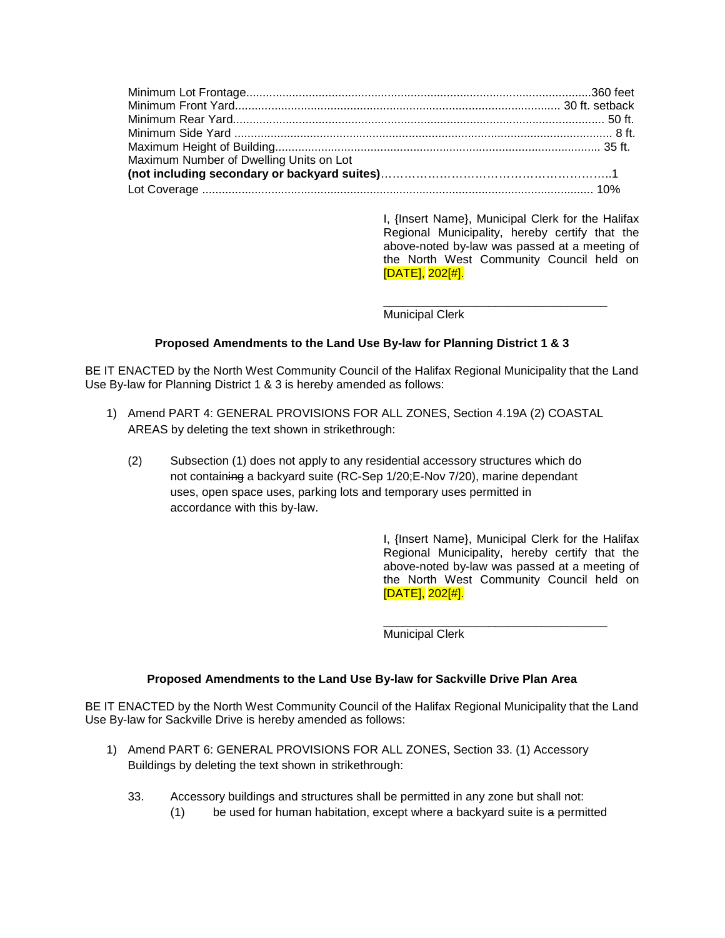| Maximum Number of Dwelling Units on Lot |  |
|-----------------------------------------|--|
|                                         |  |
|                                         |  |

I, {Insert Name}, Municipal Clerk for the Halifax Regional Municipality, hereby certify that the above-noted by-law was passed at a meeting of the North West Community Council held on [DATE], 202[#].

\_\_\_\_\_\_\_\_\_\_\_\_\_\_\_\_\_\_\_\_\_\_\_\_\_\_\_\_\_\_\_\_\_\_ Municipal Clerk

# **Proposed Amendments to the Land Use By-law for Planning District 1 & 3**

BE IT ENACTED by the North West Community Council of the Halifax Regional Municipality that the Land Use By-law for Planning District 1 & 3 is hereby amended as follows:

- 1) Amend PART 4: GENERAL PROVISIONS FOR ALL ZONES, Section 4.19A (2) COASTAL AREAS by deleting the text shown in strikethrough:
	- (2) Subsection (1) does not apply to any residential accessory structures which do not containing a backyard suite (RC-Sep 1/20;E-Nov 7/20), marine dependant uses, open space uses, parking lots and temporary uses permitted in accordance with this by-law.

I, {Insert Name}, Municipal Clerk for the Halifax Regional Municipality, hereby certify that the above-noted by-law was passed at a meeting of the North West Community Council held on [DATE], 202[#].

\_\_\_\_\_\_\_\_\_\_\_\_\_\_\_\_\_\_\_\_\_\_\_\_\_\_\_\_\_\_\_\_\_\_ Municipal Clerk

# **Proposed Amendments to the Land Use By-law for Sackville Drive Plan Area**

BE IT ENACTED by the North West Community Council of the Halifax Regional Municipality that the Land Use By-law for Sackville Drive is hereby amended as follows:

- 1) Amend PART 6: GENERAL PROVISIONS FOR ALL ZONES, Section 33. (1) Accessory Buildings by deleting the text shown in strikethrough:
	- 33. Accessory buildings and structures shall be permitted in any zone but shall not:
		- (1) be used for human habitation, except where a backyard suite is a permitted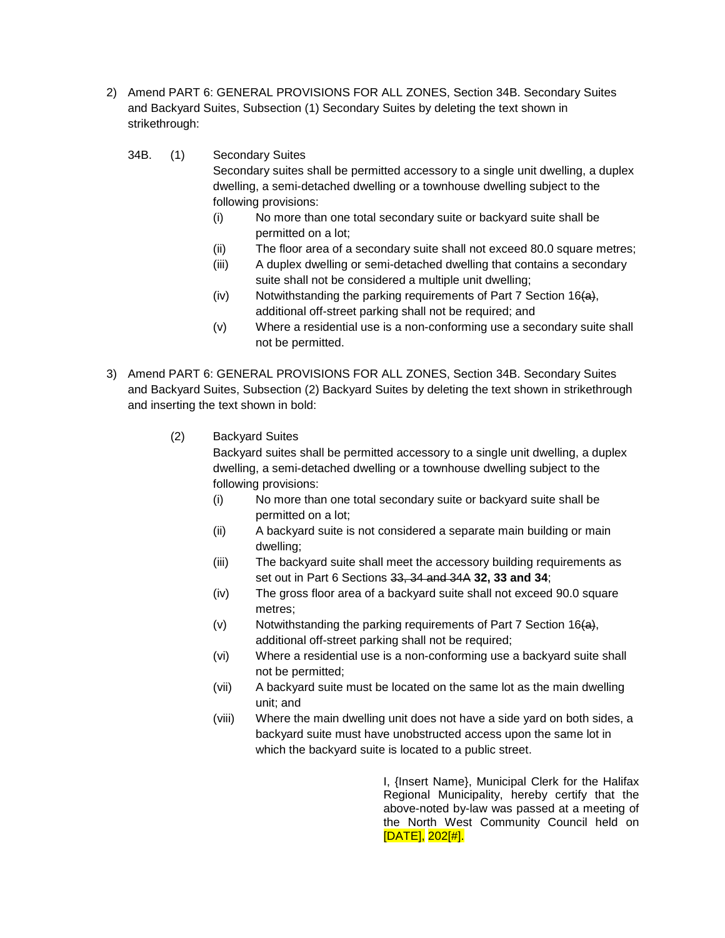- 2) Amend PART 6: GENERAL PROVISIONS FOR ALL ZONES, Section 34B. Secondary Suites and Backyard Suites, Subsection (1) Secondary Suites by deleting the text shown in strikethrough:
	- 34B. (1) Secondary Suites

Secondary suites shall be permitted accessory to a single unit dwelling, a duplex dwelling, a semi-detached dwelling or a townhouse dwelling subject to the following provisions:

- (i) No more than one total secondary suite or backyard suite shall be permitted on a lot;
- (ii) The floor area of a secondary suite shall not exceed 80.0 square metres;
- (iii) A duplex dwelling or semi-detached dwelling that contains a secondary suite shall not be considered a multiple unit dwelling;
- (iv) Notwithstanding the parking requirements of Part 7 Section  $16\left(\frac{a}{b}\right)$ , additional off-street parking shall not be required; and
- (v) Where a residential use is a non-conforming use a secondary suite shall not be permitted.
- 3) Amend PART 6: GENERAL PROVISIONS FOR ALL ZONES, Section 34B. Secondary Suites and Backyard Suites, Subsection (2) Backyard Suites by deleting the text shown in strikethrough and inserting the text shown in bold:
	- (2) Backyard Suites Backyard suites shall be permitted accessory to a single unit dwelling, a duplex dwelling, a semi-detached dwelling or a townhouse dwelling subject to the following provisions:
		- (i) No more than one total secondary suite or backyard suite shall be permitted on a lot;
		- (ii) A backyard suite is not considered a separate main building or main dwelling;
		- (iii) The backyard suite shall meet the accessory building requirements as set out in Part 6 Sections 33, 34 and 34A **32, 33 and 34**;
		- (iv) The gross floor area of a backyard suite shall not exceed 90.0 square metres;
		- (v) Notwithstanding the parking requirements of Part 7 Section  $16(a)$ , additional off-street parking shall not be required;
		- (vi) Where a residential use is a non-conforming use a backyard suite shall not be permitted;
		- (vii) A backyard suite must be located on the same lot as the main dwelling unit; and
		- (viii) Where the main dwelling unit does not have a side yard on both sides, a backyard suite must have unobstructed access upon the same lot in which the backyard suite is located to a public street.

I, {Insert Name}, Municipal Clerk for the Halifax Regional Municipality, hereby certify that the above-noted by-law was passed at a meeting of the North West Community Council held on [DATE], 202[#].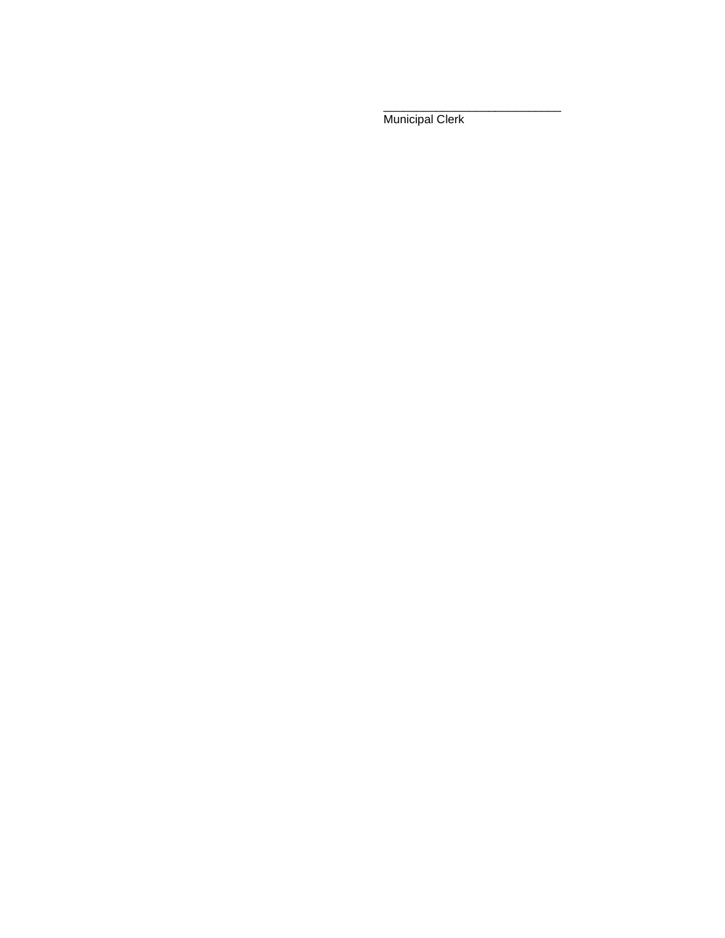\_\_\_\_\_\_\_\_\_\_\_\_\_\_\_\_\_\_\_\_\_\_\_\_\_\_\_ Municipal Clerk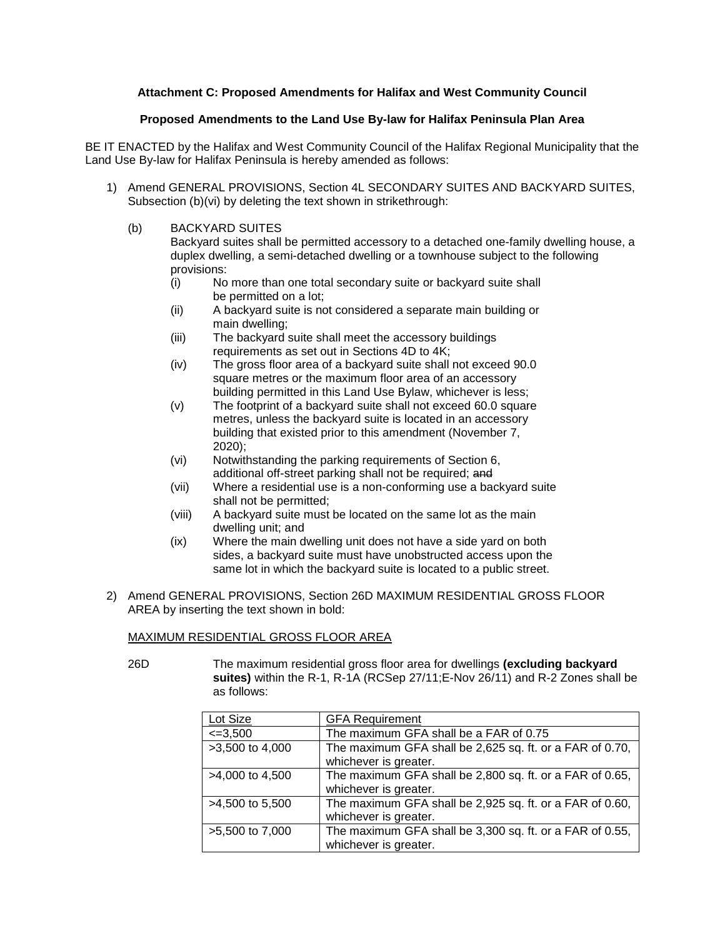# **Attachment C: Proposed Amendments for Halifax and West Community Council**

### **Proposed Amendments to the Land Use By-law for Halifax Peninsula Plan Area**

BE IT ENACTED by the Halifax and West Community Council of the Halifax Regional Municipality that the Land Use By-law for Halifax Peninsula is hereby amended as follows:

- 1) Amend GENERAL PROVISIONS, Section 4L SECONDARY SUITES AND BACKYARD SUITES, Subsection (b)(vi) by deleting the text shown in strikethrough:
	- (b) BACKYARD SUITES

Backyard suites shall be permitted accessory to a detached one-family dwelling house, a duplex dwelling, a semi-detached dwelling or a townhouse subject to the following provisions:

- (i) No more than one total secondary suite or backyard suite shall be permitted on a lot;
- (ii) A backyard suite is not considered a separate main building or main dwelling;
- (iii) The backyard suite shall meet the accessory buildings requirements as set out in Sections 4D to 4K;
- (iv) The gross floor area of a backyard suite shall not exceed 90.0 square metres or the maximum floor area of an accessory building permitted in this Land Use Bylaw, whichever is less;
- (v) The footprint of a backyard suite shall not exceed 60.0 square metres, unless the backyard suite is located in an accessory building that existed prior to this amendment (November 7, 2020);
- (vi) Notwithstanding the parking requirements of Section 6, additional off-street parking shall not be required; and
- (vii) Where a residential use is a non-conforming use a backyard suite shall not be permitted;
- (viii) A backyard suite must be located on the same lot as the main dwelling unit; and
- (ix) Where the main dwelling unit does not have a side yard on both sides, a backyard suite must have unobstructed access upon the same lot in which the backyard suite is located to a public street.
- 2) Amend GENERAL PROVISIONS, Section 26D MAXIMUM RESIDENTIAL GROSS FLOOR AREA by inserting the text shown in bold:

#### MAXIMUM RESIDENTIAL GROSS FLOOR AREA

| 26D | The maximum residential gross floor area for dwellings (excluding backyard     |
|-----|--------------------------------------------------------------------------------|
|     | suites) within the R-1, R-1A (RCSep 27/11; E-Nov 26/11) and R-2 Zones shall be |
|     | as follows:                                                                    |

| Lot Size        | <b>GFA Requirement</b>                                   |  |
|-----------------|----------------------------------------------------------|--|
| $\leq 3,500$    | The maximum GFA shall be a FAR of 0.75                   |  |
| >3,500 to 4,000 | The maximum GFA shall be 2,625 sq. ft. or a FAR of 0.70, |  |
|                 | whichever is greater.                                    |  |
| >4,000 to 4,500 | The maximum GFA shall be 2,800 sq. ft. or a FAR of 0.65, |  |
|                 | whichever is greater.                                    |  |
| >4,500 to 5,500 | The maximum GFA shall be 2,925 sq. ft. or a FAR of 0.60, |  |
|                 | whichever is greater.                                    |  |
| >5,500 to 7,000 | The maximum GFA shall be 3,300 sq. ft. or a FAR of 0.55, |  |
|                 | whichever is greater.                                    |  |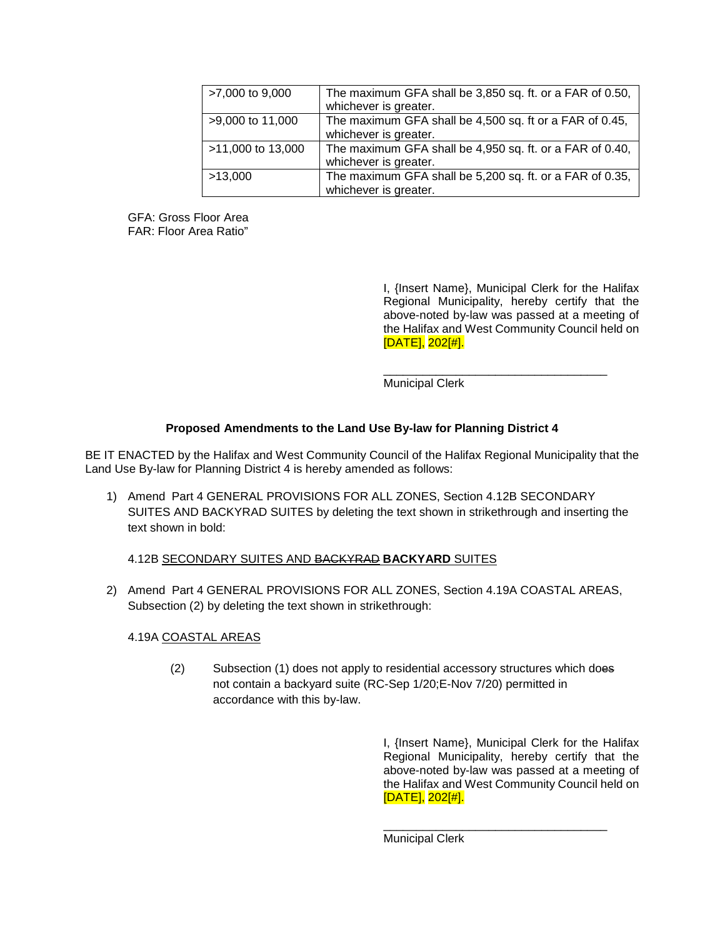| >7,000 to 9,000   | The maximum GFA shall be 3,850 sq. ft. or a FAR of 0.50,<br>whichever is greater. |  |
|-------------------|-----------------------------------------------------------------------------------|--|
| >9,000 to 11,000  | The maximum GFA shall be 4,500 sq. ft or a FAR of 0.45,<br>whichever is greater.  |  |
| >11,000 to 13,000 | The maximum GFA shall be 4,950 sq. ft. or a FAR of 0.40,<br>whichever is greater. |  |
| >13,000           | The maximum GFA shall be 5,200 sq. ft. or a FAR of 0.35,<br>whichever is greater. |  |

GFA: Gross Floor Area FAR: Floor Area Ratio"

> I, {Insert Name}, Municipal Clerk for the Halifax Regional Municipality, hereby certify that the above-noted by-law was passed at a meeting of the Halifax and West Community Council held on [DATE], 202[#].

\_\_\_\_\_\_\_\_\_\_\_\_\_\_\_\_\_\_\_\_\_\_\_\_\_\_\_\_\_\_\_\_\_\_ Municipal Clerk

# **Proposed Amendments to the Land Use By-law for Planning District 4**

BE IT ENACTED by the Halifax and West Community Council of the Halifax Regional Municipality that the Land Use By-law for Planning District 4 is hereby amended as follows:

1) Amend Part 4 GENERAL PROVISIONS FOR ALL ZONES, Section 4.12B SECONDARY SUITES AND BACKYRAD SUITES by deleting the text shown in strikethrough and inserting the text shown in bold:

# 4.12B SECONDARY SUITES AND BACKYRAD **BACKYARD** SUITES

2) Amend Part 4 GENERAL PROVISIONS FOR ALL ZONES, Section 4.19A COASTAL AREAS, Subsection (2) by deleting the text shown in strikethrough:

4.19A COASTAL AREAS

(2) Subsection (1) does not apply to residential accessory structures which does not contain a backyard suite (RC-Sep 1/20;E-Nov 7/20) permitted in accordance with this by-law.

> I, {Insert Name}, Municipal Clerk for the Halifax Regional Municipality, hereby certify that the above-noted by-law was passed at a meeting of the Halifax and West Community Council held on [DATE], 202[#].

\_\_\_\_\_\_\_\_\_\_\_\_\_\_\_\_\_\_\_\_\_\_\_\_\_\_\_\_\_\_\_\_\_\_ Municipal Clerk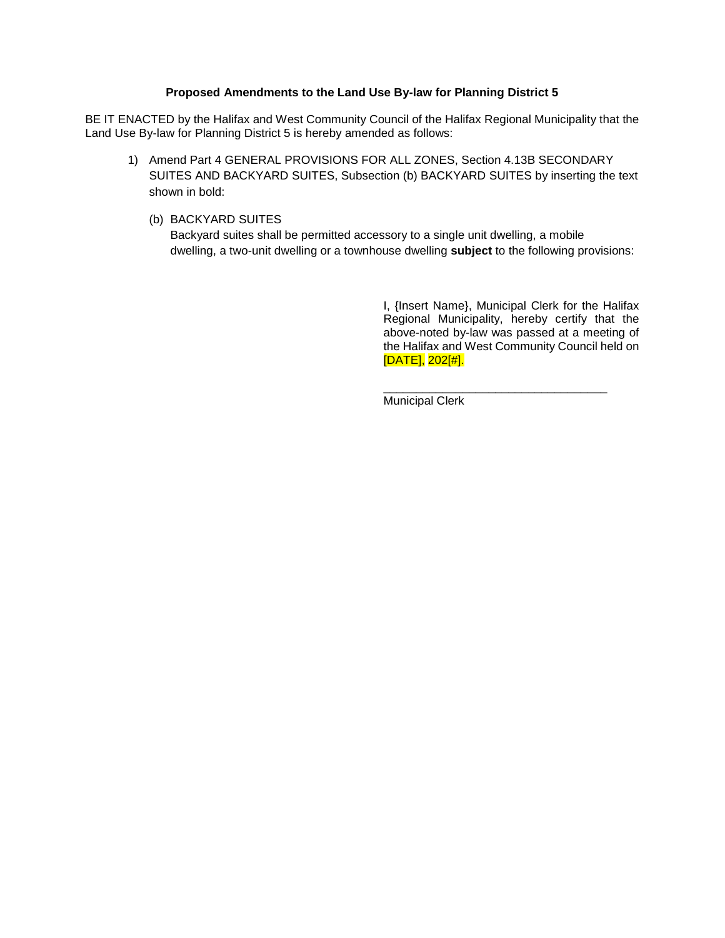### **Proposed Amendments to the Land Use By-law for Planning District 5**

BE IT ENACTED by the Halifax and West Community Council of the Halifax Regional Municipality that the Land Use By-law for Planning District 5 is hereby amended as follows:

- 1) Amend Part 4 GENERAL PROVISIONS FOR ALL ZONES, Section 4.13B SECONDARY SUITES AND BACKYARD SUITES, Subsection (b) BACKYARD SUITES by inserting the text shown in bold:
	- (b) BACKYARD SUITES

Backyard suites shall be permitted accessory to a single unit dwelling, a mobile dwelling, a two-unit dwelling or a townhouse dwelling **subject** to the following provisions:

> I, {Insert Name}, Municipal Clerk for the Halifax Regional Municipality, hereby certify that the above-noted by-law was passed at a meeting of the Halifax and West Community Council held on [DATE], 202[#].

\_\_\_\_\_\_\_\_\_\_\_\_\_\_\_\_\_\_\_\_\_\_\_\_\_\_\_\_\_\_\_\_\_\_ Municipal Clerk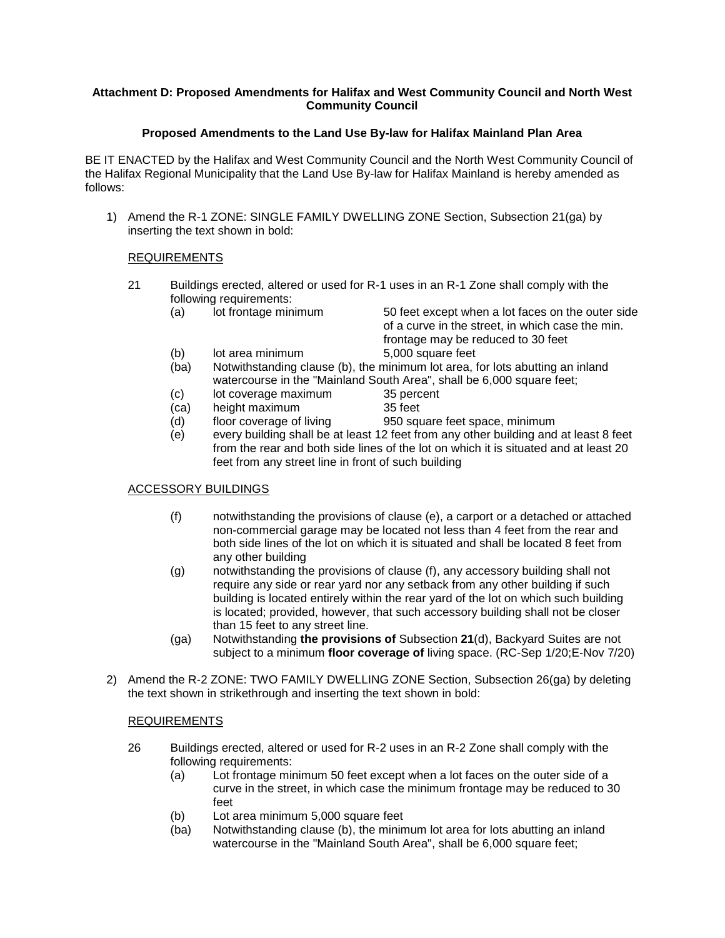### **Attachment D: Proposed Amendments for Halifax and West Community Council and North West Community Council**

# **Proposed Amendments to the Land Use By-law for Halifax Mainland Plan Area**

BE IT ENACTED by the Halifax and West Community Council and the North West Community Council of the Halifax Regional Municipality that the Land Use By-law for Halifax Mainland is hereby amended as follows:

1) Amend the R-1 ZONE: SINGLE FAMILY DWELLING ZONE Section, Subsection 21(ga) by inserting the text shown in bold:

# REQUIREMENTS

21 Buildings erected, altered or used for R-1 uses in an R-1 Zone shall comply with the following requirements:

| (a)  | lot frontage minimum                                                                                                                                   | 50 feet except when a lot faces on the outer side<br>of a curve in the street, in which case the min.<br>frontage may be reduced to 30 feet |
|------|--------------------------------------------------------------------------------------------------------------------------------------------------------|---------------------------------------------------------------------------------------------------------------------------------------------|
| (b)  | lot area minimum                                                                                                                                       | 5,000 square feet                                                                                                                           |
| (ba) | Notwithstanding clause (b), the minimum lot area, for lots abutting an inland<br>watercourse in the "Mainland South Area", shall be 6,000 square feet; |                                                                                                                                             |
|      |                                                                                                                                                        |                                                                                                                                             |

- (c) lot coverage maximum 35 percent<br>(ca) height maximum 35 feet
- (ca) height maximum
- (d) floor coverage of living 950 square feet space, minimum
- (e) every building shall be at least 12 feet from any other building and at least 8 feet from the rear and both side lines of the lot on which it is situated and at least 20 feet from any street line in front of such building

# ACCESSORY BUILDINGS

- (f) notwithstanding the provisions of clause (e), a carport or a detached or attached non-commercial garage may be located not less than 4 feet from the rear and both side lines of the lot on which it is situated and shall be located 8 feet from any other building
- (g) notwithstanding the provisions of clause (f), any accessory building shall not require any side or rear yard nor any setback from any other building if such building is located entirely within the rear yard of the lot on which such building is located; provided, however, that such accessory building shall not be closer than 15 feet to any street line.
- (ga) Notwithstanding **the provisions of** Subsection **21**(d), Backyard Suites are not subject to a minimum **floor coverage of** living space. (RC-Sep 1/20;E-Nov 7/20)
- 2) Amend the R-2 ZONE: TWO FAMILY DWELLING ZONE Section, Subsection 26(ga) by deleting the text shown in strikethrough and inserting the text shown in bold:

# REQUIREMENTS

- 26 Buildings erected, altered or used for R-2 uses in an R-2 Zone shall comply with the following requirements:
	- (a) Lot frontage minimum 50 feet except when a lot faces on the outer side of a curve in the street, in which case the minimum frontage may be reduced to 30 feet
	- (b) Lot area minimum 5,000 square feet
	- (ba) Notwithstanding clause (b), the minimum lot area for lots abutting an inland watercourse in the "Mainland South Area", shall be 6,000 square feet;